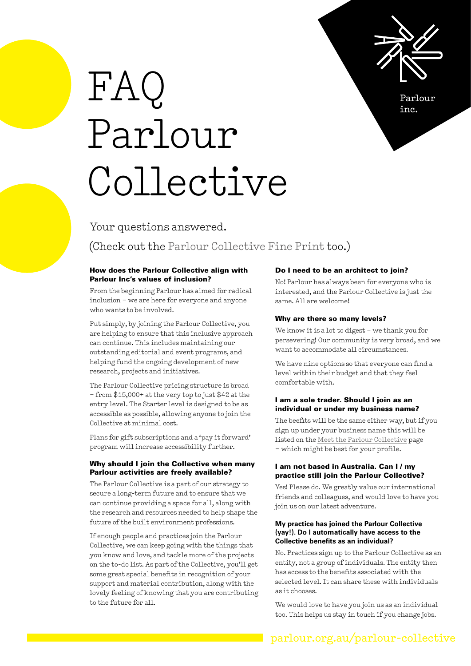

Parlour inc.

# [FAQ](https://parlour.org.au/parlour-collective/#parlour-collective-tab-3)  [Parlour](https://parlour.org.au/parlour-collective/#parlour-collective-tab-3) [Collective](https://parlour.org.au/parlour-collective/#parlour-collective-tab-3)

### Your questions answered.

## (Check out the [Parlour Collective Fine Print](https://parlour.org.au/parlour-collective-fine-print/) too.)

#### How does the Parlour Collective align with Parlour Inc's values of inclusion?

From the beginning Parlour has aimed for radical inclusion – we are here for everyone and anyone who wants to be involved.

Put simply, by joining the Parlour Collective, you are helping to ensure that this inclusive approach can continue. This includes maintaining our outstanding editorial and event programs, and helping fund the ongoing development of new research, projects and initiatives.

The Parlour Collective pricing structure is broad – from \$15,000+ at the very top to just \$42 at the entry level. The Starter level is designed to be as accessible as possible, allowing anyone to join the Collective at minimal cost.

Plans for gift subscriptions and a 'pay it forward' program will increase accessibility further.

#### Why should I join the Collective when many Parlour activities are freely available?

The Parlour Collective is a part of our strategy to secure a long-term future and to ensure that we can continue providing a space for all, along with the research and resources needed to help shape the future of the built environment professions.

If enough people and practices join the Parlour Collective, we can keep going with the things that you know and love, and tackle more of the projects on the to-do list. As part of the Collective, you'll get some great special benefits in recognition of your support and material contribution, along with the lovely feeling of knowing that you are contributing to the future for all.

#### Do I need to be an architect to join?

No! Parlour has always been for everyone who is interested, and the Parlour Collective is just the same. All are welcome!

#### Why are there so many levels?

We know it is a lot to digest – we thank you for persevering! Our community is very broad, and we want to accommodate all circumstances.

We have nine options so that everyone can find a level within their budget and that they feel comfortable with.

#### I am a sole trader. Should I join as an individual or under my business name?

The beefits will be the same either way, but if you sign up under your business name this will be listed on the [Meet the Parlour Collective](https://parlour.org.au/parlour-collective/#parlour-collective-tab-4) page – which might be best for your profile.

#### I am not based in Australia. Can I / my practice still join the Parlour Collective?

Yes! Please do. We greatly value our international friends and colleagues, and would love to have you join us on our latest adventure.

#### **My practice has joined the Parlour Collective (yay!). Do I automatically have access to the Collective benefits as an individual?**

No. Practices sign up to the Parlour Collective as an entity, not a group of individuals. The entity then has access to the benefits associated with the selected level. It can share these with individuals as it chooses.

We would love to have you join us as an individual too. This helps us stay in touch if you change jobs.